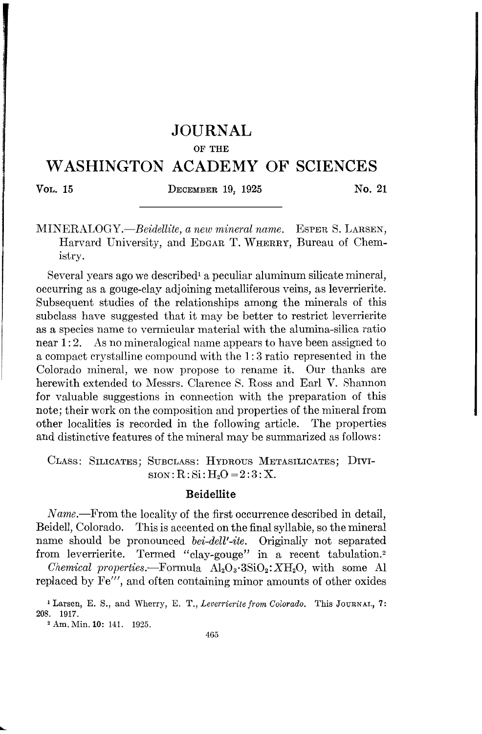## **JOURNAL**

#### OF THE

# **WASHINGTON ACADEMY OF SCIENCES**

### VOL. 15 DECEMBER 19, 1925 No. 21

*MINERALOGY.-Beidellite, a new mineral name.* ESPER S. LARSEN, Harvard University, and EDGAR T. WHERRY, Bureau of Chemistry.

Several years ago we described<sup>1</sup> a peculiar aluminum silicate mineral, occurring as a gouge-clay adjoining metalliferous veins, as leverrierite. Subsequent studies of the relationships among the minerals of this subclass have suggested that it may be better to restrict leverrierite as a species name to vermicular material with the alumina-silica ratio near 1:2. As no mineralogical name appears to have been assigned to a compact crystalline compound with the 1: 3 ratio represented in the Colorado mineral, we now propose to rename it. Our thanks are herewith extended to Messrs. Clarence S. Ross and Earl V. Shannon for valuable suggestions in connection with the preparation of this note; their work on the composition and properties of the mineral from other localities is recorded in the following article. The properties and distinctive features of the mineral may be summarized as follows:

CLASS: SILICATES; SUBCLASS: HYDROUS METASILICATES; DIVI- $\text{sion}: \text{R}: \text{Si}: \text{H}_2\text{O} = 2:3: \text{X}$ .

### Beidellite

*Name.*—From the locality of the first occurrence described in detail, Beidell, Colorado. This is accented on the final syllable, so the mineral name should be pronounced *bei-dell'-ite.* Originally not separated from leverrierite. Termed "clay-gouge" in a recent tabulation.<sup>2</sup>

*Chemical properties.*—Formula  $\text{Al}_2\text{O}_3 \cdot 3\text{SiO}_2$ :  $X\text{H}_2\text{O}$ , with some Al replaced by Fe"', and often containing minor amounts of other oxides

<sup>2</sup> Am. Min. 10: 141. 1925.

<sup>1</sup> Larsen, E. S., and Wherry, E. T., *Leverrieritefrom Colorado.* This JOURNAL, 7: 208. 1917.